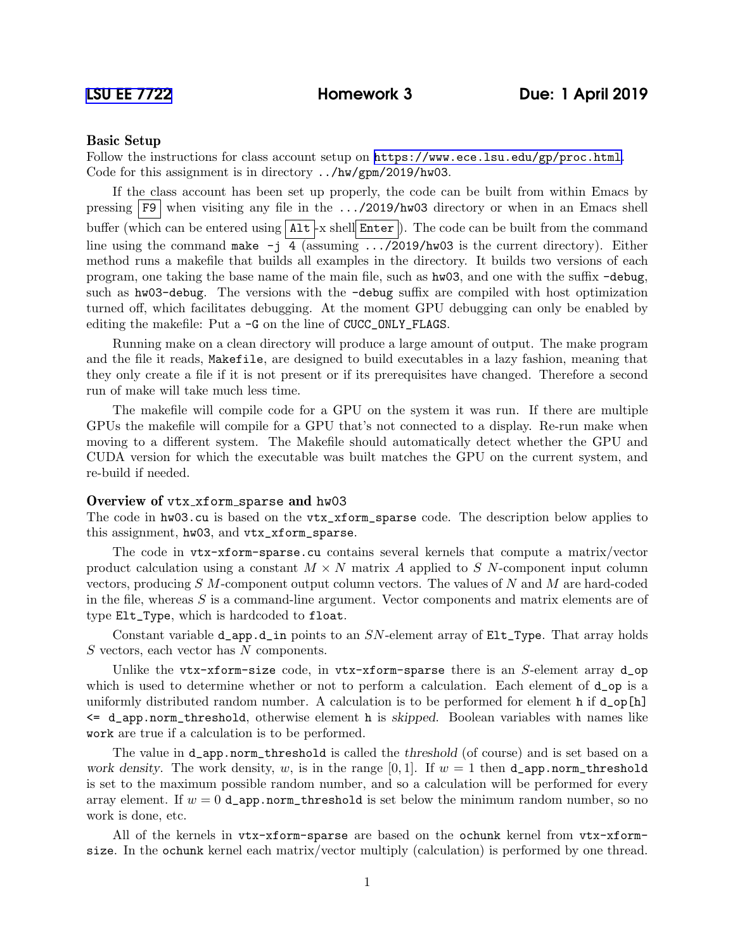# Basic Setup

Follow the instructions for class account setup on <https://www.ece.lsu.edu/gp/proc.html>. Code for this assignment is in directory ../hw/gpm/2019/hw03.

If the class account has been set up properly, the code can be built from within Emacs by pressing  $\overline{F9}$  when visiting any file in the .../2019/hw03 directory or when in an Emacs shell buffer (which can be entered using  $\text{Alt}$  -x shell Enter ). The code can be built from the command line using the command make  $-i$  4 (assuming  $\ldots$ /2019/hw03 is the current directory). Either method runs a makefile that builds all examples in the directory. It builds two versions of each program, one taking the base name of the main file, such as hw03, and one with the suffix -debug, such as hw03-debug. The versions with the -debug suffix are compiled with host optimization turned off, which facilitates debugging. At the moment GPU debugging can only be enabled by editing the makefile: Put a -G on the line of CUCC\_ONLY\_FLAGS.

Running make on a clean directory will produce a large amount of output. The make program and the file it reads, Makefile, are designed to build executables in a lazy fashion, meaning that they only create a file if it is not present or if its prerequisites have changed. Therefore a second run of make will take much less time.

The makefile will compile code for a GPU on the system it was run. If there are multiple GPUs the makefile will compile for a GPU that's not connected to a display. Re-run make when moving to a different system. The Makefile should automatically detect whether the GPU and CUDA version for which the executable was built matches the GPU on the current system, and re-build if needed.

## Overview of vtx\_xform\_sparse and hw03

The code in hw03.cu is based on the vtx\_xform\_sparse code. The description below applies to this assignment, hw03, and vtx\_xform\_sparse.

The code in vtx-xform-sparse.cu contains several kernels that compute a matrix/vector product calculation using a constant  $M \times N$  matrix A applied to S N-component input column vectors, producing  $S$   $M$ -component output column vectors. The values of  $N$  and  $M$  are hard-coded in the file, whereas  $S$  is a command-line argument. Vector components and matrix elements are of type Elt\_Type, which is hardcoded to float.

Constant variable  $d$ <sub>-app.</sub> $d$ <sub>-in</sub> points to an  $SN$ -element array of  $Elt$ <sub>-Type</sub>. That array holds S vectors, each vector has N components.

Unlike the vtx-xform-size code, in vtx-xform-sparse there is an  $S$ -element array  $d$ -op which is used to determine whether or not to perform a calculation. Each element of  $d$ -op is a uniformly distributed random number. A calculation is to be performed for element h if  $d_{\text{op}}[h]$ <= d\_app.norm\_threshold, otherwise element h is skipped. Boolean variables with names like work are true if a calculation is to be performed.

The value in **d\_app.norm\_threshold** is called the *threshold* (of course) and is set based on a work density. The work density, w, is in the range  $[0, 1]$ . If  $w = 1$  then **d\_app.norm\_threshold** is set to the maximum possible random number, and so a calculation will be performed for every array element. If  $w = 0$  d\_app.norm\_threshold is set below the minimum random number, so no work is done, etc.

All of the kernels in vtx-xform-sparse are based on the ochunk kernel from vtx-xformsize. In the ochunk kernel each matrix/vector multiply (calculation) is performed by one thread.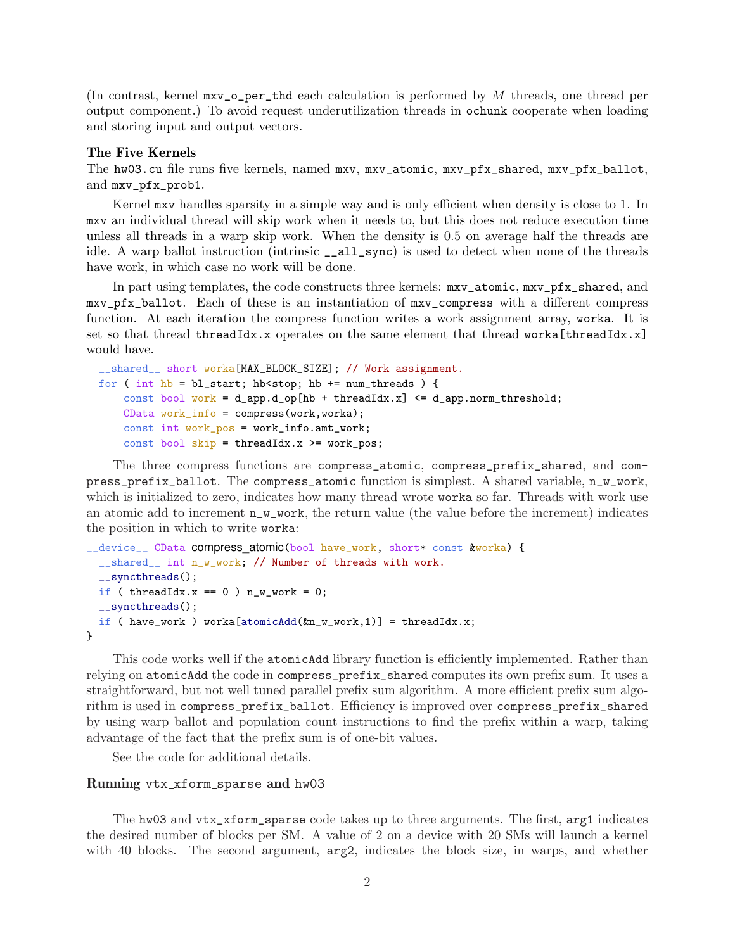(In contrast, kernel  $mxv_o-per\_thd$  each calculation is performed by M threads, one thread per output component.) To avoid request underutilization threads in ochunk cooperate when loading and storing input and output vectors.

# The Five Kernels

The hw03.cu file runs five kernels, named mxv, mxv\_atomic, mxv\_pfx\_shared, mxv\_pfx\_ballot, and mxv\_pfx\_prob1.

Kernel mxv handles sparsity in a simple way and is only efficient when density is close to 1. In mxv an individual thread will skip work when it needs to, but this does not reduce execution time unless all threads in a warp skip work. When the density is 0.5 on average half the threads are idle. A warp ballot instruction (intrinsic \_\_all\_sync) is used to detect when none of the threads have work, in which case no work will be done.

In part using templates, the code constructs three kernels: mxv\_atomic, mxv\_pfx\_shared, and mxv\_pfx\_ballot. Each of these is an instantiation of mxv\_compress with a different compress function. At each iteration the compress function writes a work assignment array, worka. It is set so that thread threadIdx.x operates on the same element that thread worka[threadIdx.x] would have.

```
__shared__ short worka[MAX_BLOCK_SIZE]; // Work assignment.
for ( int hb = bl_start; hb<stop; hb += num_threads ) {
    const bool work = d_app.d_op[hb + threadIdx.x] \leq d _app.norm_threshold;
    CData work_info = compress(work,worka);
    const int work_pos = work_info.amt_work;
    const bool skip = threadIdx.x >= work_pos;
```
The three compress functions are compress\_atomic, compress\_prefix\_shared, and compress\_prefix\_ballot. The compress\_atomic function is simplest. A shared variable, n\_w\_work, which is initialized to zero, indicates how many thread wrote works so far. Threads with work use an atomic add to increment  $n_w$  work, the return value (the value before the increment) indicates the position in which to write worka:

```
__device__ CData compress_atomic(bool have_work, short* const &worka) {
  __shared__ int n_w_work; // Number of threads with work.
  __syncthreads();
  if ( threadIdx.x == 0 ) n_w_work = 0;
  __syncthreads();
  if ( have_work ) worka[atomicAdd(kn_w_work,1)] = threadIdx.x;
}
```
This code works well if the atomicAdd library function is efficiently implemented. Rather than relying on atomicAdd the code in compress\_prefix\_shared computes its own prefix sum. It uses a straightforward, but not well tuned parallel prefix sum algorithm. A more efficient prefix sum algorithm is used in compress\_prefix\_ballot. Efficiency is improved over compress\_prefix\_shared by using warp ballot and population count instructions to find the prefix within a warp, taking advantage of the fact that the prefix sum is of one-bit values.

See the code for additional details.

## Running vtx xform sparse and hw03

The hw03 and vtx\_xform\_sparse code takes up to three arguments. The first, arg1 indicates the desired number of blocks per SM. A value of 2 on a device with 20 SMs will launch a kernel with 40 blocks. The second argument,  $arg2$ , indicates the block size, in warps, and whether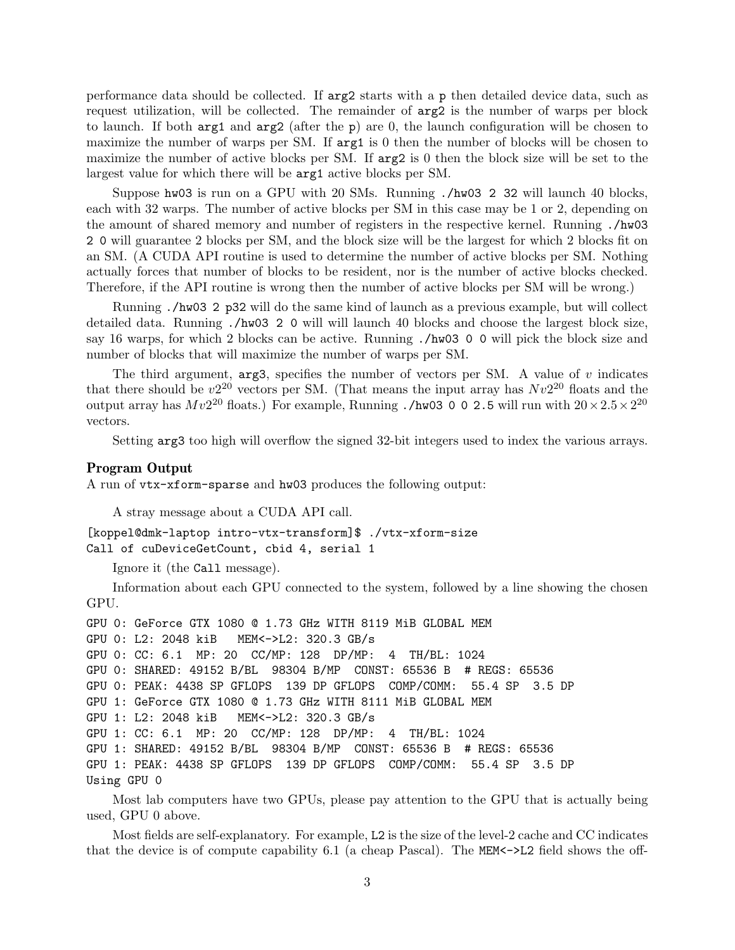performance data should be collected. If arg2 starts with a p then detailed device data, such as request utilization, will be collected. The remainder of arg2 is the number of warps per block to launch. If both  $\arg 1$  and  $\arg 2$  (after the p) are 0, the launch configuration will be chosen to maximize the number of warps per SM. If  $\arg 1$  is 0 then the number of blocks will be chosen to maximize the number of active blocks per SM. If arg2 is 0 then the block size will be set to the largest value for which there will be arg1 active blocks per SM.

Suppose hw03 is run on a GPU with 20 SMs. Running ./hw03 2 32 will launch 40 blocks, each with 32 warps. The number of active blocks per SM in this case may be 1 or 2, depending on the amount of shared memory and number of registers in the respective kernel. Running ./hw03 2 0 will guarantee 2 blocks per SM, and the block size will be the largest for which 2 blocks fit on an SM. (A CUDA API routine is used to determine the number of active blocks per SM. Nothing actually forces that number of blocks to be resident, nor is the number of active blocks checked. Therefore, if the API routine is wrong then the number of active blocks per SM will be wrong.)

Running ./hw03 2 p32 will do the same kind of launch as a previous example, but will collect detailed data. Running ./hw03 2 0 will will launch 40 blocks and choose the largest block size, say 16 warps, for which 2 blocks can be active. Running ./hw03 0 0 will pick the block size and number of blocks that will maximize the number of warps per SM.

The third argument,  $arg3$ , specifies the number of vectors per SM. A value of v indicates that there should be  $v2^{20}$  vectors per SM. (That means the input array has  $Nv2^{20}$  floats and the output array has  $Mv2^{20}$  floats.) For example, Running ./hw03 0 0 2.5 will run with  $20 \times 2.5 \times 2^{20}$ vectors.

Setting arg3 too high will overflow the signed 32-bit integers used to index the various arrays.

#### Program Output

A run of vtx-xform-sparse and hw03 produces the following output:

```
A stray message about a CUDA API call.
```
[koppel@dmk-laptop intro-vtx-transform]\$ ./vtx-xform-size Call of cuDeviceGetCount, cbid 4, serial 1

Ignore it (the Call message).

Information about each GPU connected to the system, followed by a line showing the chosen GPU.

```
GPU 0: GeForce GTX 1080 @ 1.73 GHz WITH 8119 MiB GLOBAL MEM
GPU 0: L2: 2048 kiB MEM<->L2: 320.3 GB/s
GPU 0: CC: 6.1 MP: 20 CC/MP: 128 DP/MP: 4 TH/BL: 1024
GPU 0: SHARED: 49152 B/BL 98304 B/MP CONST: 65536 B # REGS: 65536
GPU 0: PEAK: 4438 SP GFLOPS 139 DP GFLOPS COMP/COMM: 55.4 SP 3.5 DP
GPU 1: GeForce GTX 1080 @ 1.73 GHz WITH 8111 MiB GLOBAL MEM
GPU 1: L2: 2048 kiB MEM<->L2: 320.3 GB/s
GPU 1: CC: 6.1 MP: 20 CC/MP: 128 DP/MP: 4 TH/BL: 1024
GPU 1: SHARED: 49152 B/BL 98304 B/MP CONST: 65536 B # REGS: 65536
GPU 1: PEAK: 4438 SP GFLOPS 139 DP GFLOPS COMP/COMM: 55.4 SP 3.5 DP
Using GPU 0
```
Most lab computers have two GPUs, please pay attention to the GPU that is actually being used, GPU 0 above.

Most fields are self-explanatory. For example, L2 is the size of the level-2 cache and CC indicates that the device is of compute capability 6.1 (a cheap Pascal). The MEM<->L2 field shows the off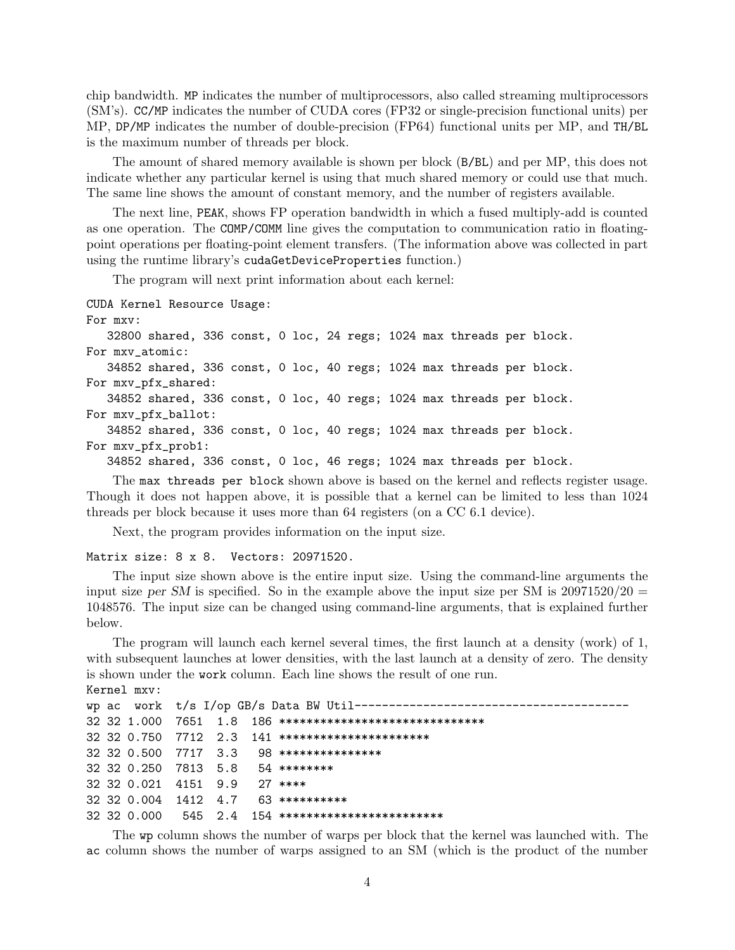chip bandwidth. MP indicates the number of multiprocessors, also called streaming multiprocessors (SM's). CC/MP indicates the number of CUDA cores (FP32 or single-precision functional units) per MP, DP/MP indicates the number of double-precision (FP64) functional units per MP, and TH/BL is the maximum number of threads per block.

The amount of shared memory available is shown per block (B/BL) and per MP, this does not indicate whether any particular kernel is using that much shared memory or could use that much. The same line shows the amount of constant memory, and the number of registers available.

The next line, PEAK, shows FP operation bandwidth in which a fused multiply-add is counted as one operation. The COMP/COMM line gives the computation to communication ratio in floatingpoint operations per floating-point element transfers. (The information above was collected in part using the runtime library's cudaGetDeviceProperties function.)

The program will next print information about each kernel:

```
CUDA Kernel Resource Usage:
For mxv:
   32800 shared, 336 const, 0 loc, 24 regs; 1024 max threads per block.
For mxv_atomic:
   34852 shared, 336 const, 0 loc, 40 regs; 1024 max threads per block.
For mxv_pfx_shared:
   34852 shared, 336 const, 0 loc, 40 regs; 1024 max threads per block.
For mxv_pfx_ballot:
   34852 shared, 336 const, 0 loc, 40 regs; 1024 max threads per block.
For mxv_pfx_prob1:
   34852 shared, 336 const, 0 loc, 46 regs; 1024 max threads per block.
```
The max threads per block shown above is based on the kernel and reflects register usage. Though it does not happen above, it is possible that a kernel can be limited to less than 1024 threads per block because it uses more than 64 registers (on a CC 6.1 device).

Next, the program provides information on the input size.

#### Matrix size: 8 x 8. Vectors: 20971520.

The input size shown above is the entire input size. Using the command-line arguments the input size per SM is specified. So in the example above the input size per SM is  $20971520/20 =$ 1048576. The input size can be changed using command-line arguments, that is explained further below.

The program will launch each kernel several times, the first launch at a density (work) of 1, with subsequent launches at lower densities, with the last launch at a density of zero. The density is shown under the work column. Each line shows the result of one run. Kernel mxv:

```
wp ac work t/s I/op GB/s Data BW Util--------------
32 32 1.000 7651 1.8 186 ******************************
32 32 0.750 7712 2.3 141 **********************
32 32 0.500 7717 3.3 98 ***************
32 32 0.250 7813 5.8 54 ********
32 32 0.021 4151 9.9 27 ****
32 32 0.004 1412 4.7 63 **********
32 32 0.000 545 2.4 154 ************************
```
The wp column shows the number of warps per block that the kernel was launched with. The ac column shows the number of warps assigned to an SM (which is the product of the number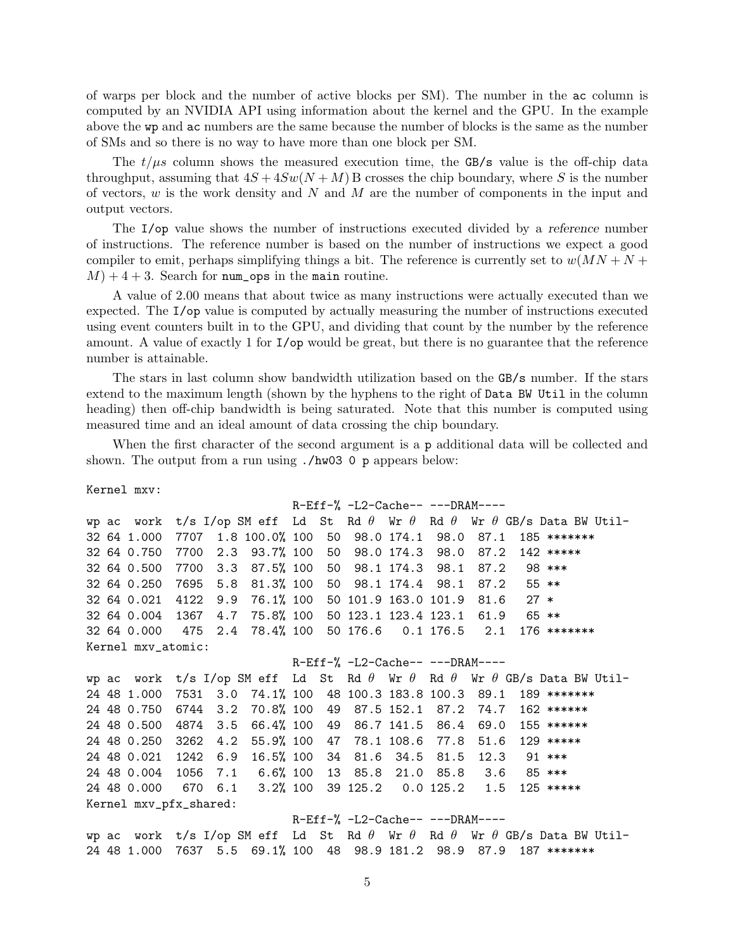of warps per block and the number of active blocks per SM). The number in the ac column is computed by an NVIDIA API using information about the kernel and the GPU. In the example above the wp and ac numbers are the same because the number of blocks is the same as the number of SMs and so there is no way to have more than one block per SM.

The  $t/\mu s$  column shows the measured execution time, the GB/s value is the off-chip data throughput, assuming that  $4S + 4Sw(N + M)$  B crosses the chip boundary, where S is the number of vectors,  $w$  is the work density and  $N$  and  $M$  are the number of components in the input and output vectors.

The I/op value shows the number of instructions executed divided by a reference number of instructions. The reference number is based on the number of instructions we expect a good compiler to emit, perhaps simplifying things a bit. The reference is currently set to  $w(MN + N +$  $M$ ) + 4 + 3. Search for num\_ops in the main routine.

A value of 2.00 means that about twice as many instructions were actually executed than we expected. The I/op value is computed by actually measuring the number of instructions executed using event counters built in to the GPU, and dividing that count by the number by the reference amount. A value of exactly 1 for I/op would be great, but there is no guarantee that the reference number is attainable.

The stars in last column show bandwidth utilization based on the GB/s number. If the stars extend to the maximum length (shown by the hyphens to the right of Data BW Util in the column heading) then off-chip bandwidth is being saturated. Note that this number is computed using measured time and an ideal amount of data crossing the chip boundary.

When the first character of the second argument is a p additional data will be collected and shown. The output from a run using ./hw03 0 p appears below:

Kernel mxv:

```
R-Eff-% -L2-Cache-- ---DRAM----
wp ac work t/s I/op SM eff Ld St Rd \theta Wr \theta Rd \theta Wr \theta GB/s Data BW Util-
32 64 1.000 7707 1.8 100.0% 100 50 98.0 174.1 98.0 87.1 185 *******
32 64 0.750 7700 2.3 93.7% 100 50 98.0 174.3 98.0 87.2 142 *****
32 64 0.500 7700 3.3 87.5% 100 50 98.1 174.3 98.1 87.2 98 ***
32 64 0.250 7695 5.8 81.3% 100 50 98.1 174.4 98.1 87.2 55 **
32 64 0.021 4122 9.9 76.1% 100 50 101.9 163.0 101.9 81.6 27 *
32 64 0.004 1367 4.7 75.8% 100 50 123.1 123.4 123.1 61.9 65 **
32 64 0.000 475 2.4 78.4% 100 50 176.6 0.1 176.5 2.1 176 *******
Kernel mxv_atomic:
                            R-Eff-% -L2-Cache-- ---DRAM----
wp ac work t/s I/op SM eff Ld St Rd \theta Wr \theta Rd \theta Wr \theta GB/s Data BW Util-
24 48 1.000 7531 3.0 74.1% 100 48 100.3 183.8 100.3 89.1 189 *******
24 48 0.750 6744 3.2 70.8% 100 49 87.5 152.1 87.2 74.7 162 ******
24 48 0.500 4874 3.5 66.4% 100 49 86.7 141.5 86.4 69.0 155 ******
24 48 0.250 3262 4.2 55.9% 100 47 78.1 108.6 77.8 51.6 129 *****
24 48 0.021 1242 6.9 16.5% 100 34 81.6 34.5 81.5 12.3 91 ***
24 48 0.004 1056 7.1 6.6% 100 13 85.8 21.0 85.8 3.6 85 ***
24 48 0.000 670 6.1 3.2% 100 39 125.2 0.0 125.2 1.5 125 *****
Kernel mxv_pfx_shared:
                            R-Eff-% -L2-Cache-- ---DRAM----
wp ac work t/s I/op SM eff Ld St Rd \theta Wr \theta Rd \theta Wr \theta GB/s Data BW Util-
```
24 48 1.000 7637 5.5 69.1% 100 48 98.9 181.2 98.9 87.9 187 \*\*\*\*\*\*\*